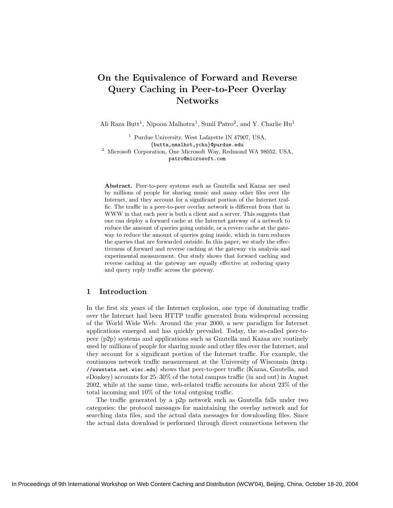# On the Equivalence of Forward and Reverse Query Caching in Peer-to-Peer Overlay Networks

Ali Raza Butt<sup>1</sup>, Nipoon Malhotra<sup>1</sup>, Sunil Patro<sup>2</sup>, and Y. Charlie  $\text{Hu}^1$ 

<sup>1</sup> Purdue University, West Lafayette IN 47907, USA, {butta,nmalhot,ychu}@purdue.edu <sup>2</sup> Microsoft Corporation, One Microsoft Way, Redmond WA 98052, USA, patro@microsoft.com

Abstract. Peer-to-peer systems such as Gnutella and Kazaa are used by millions of people for sharing music and many other files over the Internet, and they account for a significant portion of the Internet traffic. The traffic in a peer-to-peer overlay network is different from that in WWW in that each peer is both a client and a server. This suggests that one can deploy a forward cache at the Internet gateway of a network to reduce the amount of queries going outside, or a revere cache at the gateway to reduce the amount of queries going inside, which in turn reduces the queries that are forwarded outside. In this paper, we study the effectiveness of forward and reverse caching at the gateway via analysis and experimental measurement. Our study shows that forward caching and reverse caching at the gateway are equally effective at reducing query and query reply traffic across the gateway.

# 1 Introduction

In the first six years of the Internet explosion, one type of dominating traffic over the Internet had been HTTP traffic generated from widespread accessing of the World Wide Web. Around the year 2000, a new paradigm for Internet applications emerged and has quickly prevailed. Today, the so-called peer-topeer (p2p) systems and applications such as Gnutella and Kazaa are routinely used by millions of people for sharing music and other files over the Internet, and they account for a significant portion of the Internet traffic. For example, the continuous network traffic measurement at the University of Wisconsin (http: //wwwstats.net.wisc.edu) shows that peer-to-peer traffic (Kazaa, Gnutella, and eDonkey) accounts for 25–30% of the total campus traffic (in and out) in August 2002, while at the same time, web-related traffic accounts for about 23% of the total incoming and 10% of the total outgoing traffic.

The traffic generated by a p2p network such as Gnutella falls under two categories: the protocol messages for maintaining the overlay network and for searching data files, and the actual data messages for downloading files. Since the actual data download is performed through direct connections between the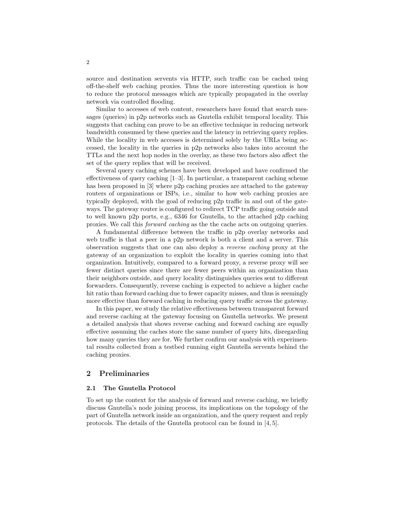source and destination servents via HTTP, such traffic can be cached using off-the-shelf web caching proxies. Thus the more interesting question is how to reduce the protocol messages which are typically propagated in the overlay network via controlled flooding.

Similar to accesses of web content, researchers have found that search messages (queries) in p2p networks such as Gnutella exhibit temporal locality. This suggests that caching can prove to be an effective technique in reducing network bandwidth consumed by these queries and the latency in retrieving query replies. While the locality in web accesses is determined solely by the URLs being accessed, the locality in the queries in p2p networks also takes into account the TTLs and the next hop nodes in the overlay, as these two factors also affect the set of the query replies that will be received.

Several query caching schemes have been developed and have confirmed the effectiveness of query caching [1–3]. In particular, a transparent caching scheme has been proposed in [3] where p2p caching proxies are attached to the gateway routers of organizations or ISPs, i.e., similar to how web caching proxies are typically deployed, with the goal of reducing p2p traffic in and out of the gateways. The gateway router is configured to redirect TCP traffic going outside and to well known p2p ports, e.g., 6346 for Gnutella, to the attached p2p caching proxies. We call this forward caching as the the cache acts on outgoing queries.

A fundamental difference between the traffic in p2p overlay networks and web traffic is that a peer in a p2p network is both a client and a server. This observation suggests that one can also deploy a reverse caching proxy at the gateway of an organization to exploit the locality in queries coming into that organization. Intuitively, compared to a forward proxy, a reverse proxy will see fewer distinct queries since there are fewer peers within an organization than their neighbors outside, and query locality distinguishes queries sent to different forwarders. Consequently, reverse caching is expected to achieve a higher cache hit ratio than forward caching due to fewer capacity misses, and thus is seemingly more effective than forward caching in reducing query traffic across the gateway.

In this paper, we study the relative effectiveness between transparent forward and reverse caching at the gateway focusing on Gnutella networks. We present a detailed analysis that shows reverse caching and forward caching are equally effective assuming the caches store the same number of query hits, disregarding how many queries they are for. We further confirm our analysis with experimental results collected from a testbed running eight Gnutella servents behind the caching proxies.

# 2 Preliminaries

#### 2.1 The Gnutella Protocol

To set up the context for the analysis of forward and reverse caching, we briefly discuss Gnutella's node joining process, its implications on the topology of the part of Gnutella network inside an organization, and the query request and reply protocols. The details of the Gnutella protocol can be found in [4, 5].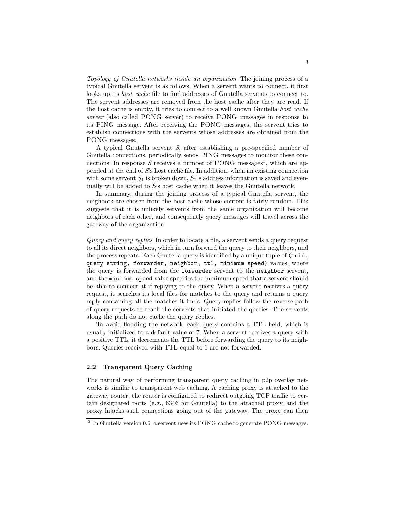Topology of Gnutella networks inside an organization The joining process of a typical Gnutella servent is as follows. When a servent wants to connect, it first looks up its host cache file to find addresses of Gnutella servents to connect to. The servent addresses are removed from the host cache after they are read. If the host cache is empty, it tries to connect to a well known Gnutella *host cache* server (also called PONG server) to receive PONG messages in response to its PING message. After receiving the PONG messages, the servent tries to establish connections with the servents whose addresses are obtained from the PONG messages.

A typical Gnutella servent S, after establishing a pre-specified number of Gnutella connections, periodically sends PING messages to monitor these connections. In response  $S$  receives a number of PONG messages<sup>3</sup>, which are appended at the end of  $S<sup>s</sup>$  host cache file. In addition, when an existing connection with some servent  $S_1$  is broken down,  $S_1$ 's address information is saved and eventually will be added to S's host cache when it leaves the Gnutella network.

In summary, during the joining process of a typical Gnutella servent, the neighbors are chosen from the host cache whose content is fairly random. This suggests that it is unlikely servents from the same organization will become neighbors of each other, and consequently query messages will travel across the gateway of the organization.

Query and query replies In order to locate a file, a servent sends a query request to all its direct neighbors, which in turn forward the query to their neighbors, and the process repeats. Each Gnutella query is identified by a unique tuple of (muid, query string, forwarder, neighbor, ttl, minimum speed) values, where the query is forwarded from the forwarder servent to the neighbor servent, and the minimum speed value specifies the minimum speed that a servent should be able to connect at if replying to the query. When a servent receives a query request, it searches its local files for matches to the query and returns a query reply containing all the matches it finds. Query replies follow the reverse path of query requests to reach the servents that initiated the queries. The servents along the path do not cache the query replies.

To avoid flooding the network, each query contains a TTL field, which is usually initialized to a default value of 7. When a servent receives a query with a positive TTL, it decrements the TTL before forwarding the query to its neighbors. Queries received with TTL equal to 1 are not forwarded.

#### 2.2 Transparent Query Caching

The natural way of performing transparent query caching in p2p overlay networks is similar to transparent web caching. A caching proxy is attached to the gateway router, the router is configured to redirect outgoing TCP traffic to certain designated ports (e.g., 6346 for Gnutella) to the attached proxy, and the proxy hijacks such connections going out of the gateway. The proxy can then

<sup>&</sup>lt;sup>3</sup> In Gnutella version 0.6, a servent uses its PONG cache to generate PONG messages.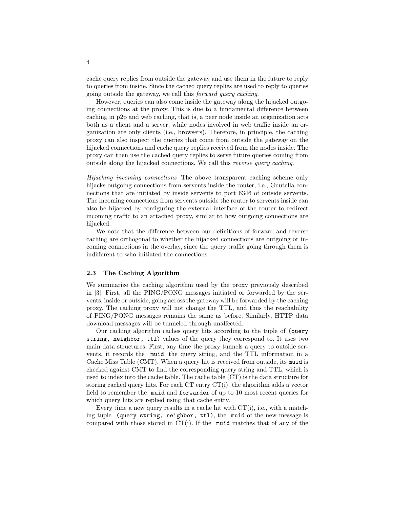cache query replies from outside the gateway and use them in the future to reply to queries from inside. Since the cached query replies are used to reply to queries going outside the gateway, we call this forward query caching.

However, queries can also come inside the gateway along the hijacked outgoing connections at the proxy. This is due to a fundamental difference between caching in p2p and web caching, that is, a peer node inside an organization acts both as a client and a server, while nodes involved in web traffic inside an organization are only clients (i.e., browsers). Therefore, in principle, the caching proxy can also inspect the queries that come from outside the gateway on the hijacked connections and cache query replies received from the nodes inside. The proxy can then use the cached query replies to serve future queries coming from outside along the hijacked connections. We call this reverse query caching.

Hijacking incoming connections. The above transparent caching scheme only hijacks outgoing connections from servents inside the router, i.e., Gnutella connections that are initiated by inside servents to port 6346 of outside servents. The incoming connections from servents outside the router to servents inside can also be hijacked by configuring the external interface of the router to redirect incoming traffic to an attached proxy, similar to how outgoing connections are hijacked.

We note that the difference between our definitions of forward and reverse caching are orthogonal to whether the hijacked connections are outgoing or incoming connections in the overlay, since the query traffic going through them is indifferent to who initiated the connections.

#### 2.3 The Caching Algorithm

We summarize the caching algorithm used by the proxy previously described in [3]. First, all the PING/PONG messages initiated or forwarded by the servents, inside or outside, going across the gateway will be forwarded by the caching proxy. The caching proxy will not change the TTL, and thus the reachability of PING/PONG messages remains the same as before. Similarly, HTTP data download messages will be tunneled through unaffected.

Our caching algorithm caches query hits according to the tuple of (query string, neighbor, ttl) values of the query they correspond to. It uses two main data structures. First, any time the proxy tunnels a query to outside servents, it records the muid, the query string, and the TTL information in a Cache Miss Table (CMT). When a query hit is received from outside, its muid is checked against CMT to find the corresponding query string and TTL, which is used to index into the cache table. The cache table (CT) is the data structure for storing cached query hits. For each CT entry CT(i), the algorithm adds a vector field to remember the muid and forwarder of up to 10 most recent queries for which query hits are replied using that cache entry.

Every time a new query results in a cache hit with  $CT(i)$ , i.e., with a matching tuple (query string, neighbor, ttl), the muid of the new message is compared with those stored in  $CT(i)$ . If the muid matches that of any of the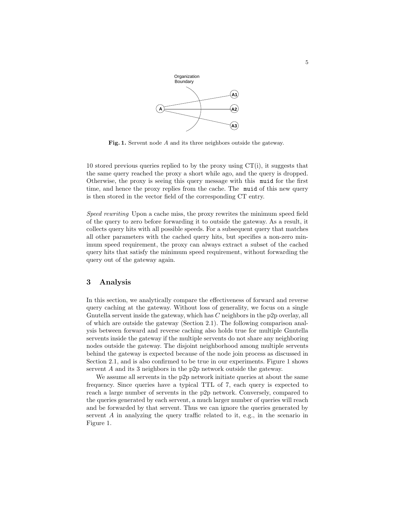

Fig. 1. Servent node A and its three neighbors outside the gateway.

10 stored previous queries replied to by the proxy using  $CT(i)$ , it suggests that the same query reached the proxy a short while ago, and the query is dropped. Otherwise, the proxy is seeing this query message with this muid for the first time, and hence the proxy replies from the cache. The muid of this new query is then stored in the vector field of the corresponding CT entry.

Speed rewriting Upon a cache miss, the proxy rewrites the minimum speed field of the query to zero before forwarding it to outside the gateway. As a result, it collects query hits with all possible speeds. For a subsequent query that matches all other parameters with the cached query hits, but specifies a non-zero minimum speed requirement, the proxy can always extract a subset of the cached query hits that satisfy the minimum speed requirement, without forwarding the query out of the gateway again.

#### 3 Analysis

In this section, we analytically compare the effectiveness of forward and reverse query caching at the gateway. Without loss of generality, we focus on a single Gnutella servent inside the gateway, which has  $C$  neighbors in the p2p overlay, all of which are outside the gateway (Section 2.1). The following comparison analysis between forward and reverse caching also holds true for multiple Gnutella servents inside the gateway if the multiple servents do not share any neighboring nodes outside the gateway. The disjoint neighborhood among multiple servents behind the gateway is expected because of the node join process as discussed in Section 2.1, and is also confirmed to be true in our experiments. Figure 1 shows servent A and its 3 neighbors in the p2p network outside the gateway.

We assume all servents in the p2p network initiate queries at about the same frequency. Since queries have a typical TTL of 7, each query is expected to reach a large number of servents in the p2p network. Conversely, compared to the queries generated by each servent, a much larger number of queries will reach and be forwarded by that servent. Thus we can ignore the queries generated by servent A in analyzing the query traffic related to it, e.g., in the scenario in Figure 1.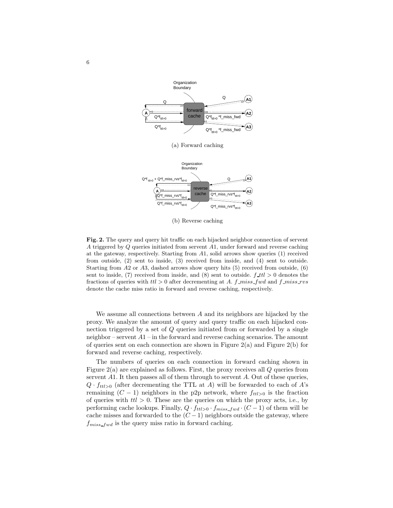

(b) Reverse caching

Fig. 2. The query and query hit traffic on each hijacked neighbor connection of servent A triggered by Q queries initiated from servent A1, under forward and reverse caching at the gateway, respectively. Starting from A1, solid arrows show queries (1) received from outside, (2) sent to inside, (3) received from inside, and (4) sent to outside. Starting from A2 or A3, dashed arrows show query hits (5) received from outside, (6) sent to inside, (7) received from inside, and (8) sent to outside.  $f$   $\pounds tl$  > 0 denotes the fractions of queries with  $ttl > 0$  after decrementing at A. f miss fwd and f miss rvs denote the cache miss ratio in forward and reverse caching, respectively.

We assume all connections between  $A$  and its neighbors are hijacked by the proxy. We analyze the amount of query and query traffic on each hijacked connection triggered by a set of Q queries initiated from or forwarded by a single neighbor – servent  $A1$  – in the forward and reverse caching scenarios. The amount of queries sent on each connection are shown in Figure  $2(a)$  and Figure  $2(b)$  for forward and reverse caching, respectively.

The numbers of queries on each connection in forward caching shown in Figure  $2(a)$  are explained as follows. First, the proxy receives all  $Q$  queries from servent A1. It then passes all of them through to servent A. Out of these queries,  $Q \cdot f_{ttl>0}$  (after decrementing the TTL at A) will be forwarded to each of A's remaining  $(C - 1)$  neighbors in the p2p network, where  $f_{ttl>0}$  is the fraction of queries with  $ttl > 0$ . These are the queries on which the proxy acts, i.e., by performing cache lookups. Finally,  $Q \cdot f_{ttl>0} \cdot f_{miss \text{-} fwd} \cdot (C-1)$  of them will be cache misses and forwarded to the  $(C-1)$  neighbors outside the gateway, where  $f_{miss\_fwd}$  is the query miss ratio in forward caching.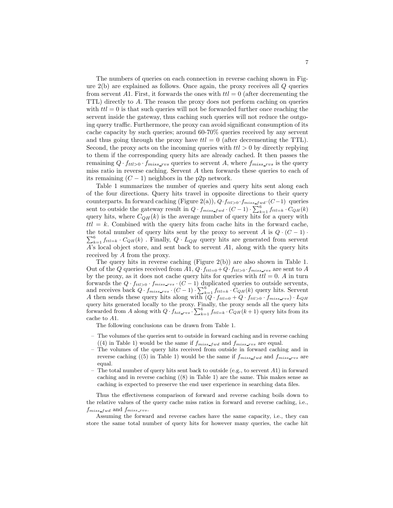The numbers of queries on each connection in reverse caching shown in Figure  $2(b)$  are explained as follows. Once again, the proxy receives all  $Q$  queries from servent A1. First, it forwards the ones with  $ttl = 0$  (after decrementing the TTL) directly to A. The reason the proxy does not perform caching on queries with  $ttl = 0$  is that such queries will not be forwarded further once reaching the servent inside the gateway, thus caching such queries will not reduce the outgoing query traffic. Furthermore, the proxy can avoid significant consumption of its cache capacity by such queries; around 60-70% queries received by any servent and thus going through the proxy have  $ttl = 0$  (after decrementing the TTL). Second, the proxy acts on the incoming queries with  $ttl > 0$  by directly replying to them if the corresponding query hits are already cached. It then passes the remaining  $Q \cdot f_{ttl>0} \cdot f_{miss-rvs}$  queries to servent A, where  $f_{miss-rvs}$  is the query miss ratio in reverse caching. Servent A then forwards these queries to each of its remaining  $(C - 1)$  neighbors in the p2p network.

Table 1 summarizes the number of queries and query hits sent along each of the four directions. Query hits travel in opposite directions to their query counterparts. In forward caching (Figure 2(a)),  $Q \cdot f_{ttl>0} \cdot f_{miss\_fwd} \cdot (C-1)$  queries sent to outside the gateway result in  $Q \cdot f_{miss\_{fwd}} \cdot (C-1) \cdot \sum_{k=1}^{6} f_{ttl=k} \cdot C_{QH}(k)$ query hits, where  $C_{QH}(k)$  is the average number of query hits for a query with  $\text{ttl} = k$ . Combined with the query hits from cache hits in the forward cache,  $\sum_{k=1}^{6} f_{ttl=k} \cdot C_{QH}(k)$ . Finally,  $Q \cdot L_{QH}$  query hits are generated from servent the total number of query hits sent by the proxy to servent A is  $Q \cdot (C - 1)$ . A's local object store, and sent back to servent A1, along with the query hits received by A from the proxy.

The query hits in reverse caching (Figure 2(b)) are also shown in Table 1. Out of the Q queries received from A1,  $Q \cdot f_{ttl=0} + Q \cdot f_{ttl>0} \cdot f_{miss\_rvs}$  are sent to A by the proxy, as it does not cache query hits for queries with  $ttl = 0$ . A in turn forwards the  $Q \cdot f_{ttl>0} \cdot f_{miss\_rus} \cdot (C-1)$  duplicated queries to outside servents, and receives back  $Q \cdot f_{miss\_rvs} \cdot (C-1) \cdot \sum_{k=1}^{6} f_{ttl=k} \cdot C_{QH}(k)$  query hits. Servent A then sends these query hits along with  $(Q \cdot f_{ttl=0} + Q \cdot f_{ttl>0} \cdot f_{miss\_rvs}) \cdot L_{QH}$ query hits generated locally to the proxy. Finally, the proxy sends all the query hits forwarded from A along with  $Q \cdot f_{hit\_rvs} \cdot \sum_{k=1}^{6} \tilde{f}_{ttl=k} \cdot C_{QH}(k+1)$  query hits from its cache to A1.

The following conclusions can be drawn from Table 1.

- The volumes of the queries sent to outside in forward caching and in reverse caching ((4) in Table 1) would be the same if  $f_{miss\_fwd}$  and  $f_{miss\_rvs}$  are equal.
- The volumes of the query hits received from outside in forward caching and in reverse caching ((5) in Table 1) would be the same if  $f_{miss\_{fwd}}$  and  $f_{miss\_{fvs}}$  are equal.
- The total number of query hits sent back to outside (e.g., to servent A1) in forward caching and in reverse caching ((8) in Table 1) are the same. This makes sense as caching is expected to preserve the end user experience in searching data files.

Thus the effectiveness comparison of forward and reverse caching boils down to the relative values of the query cache miss ratios in forward and reverse caching, i.e.,  $f_{miss\_fwd}$  and  $f_{miss\_rvs}.$ 

Assuming the forward and reverse caches have the same capacity, i.e., they can store the same total number of query hits for however many queries, the cache hit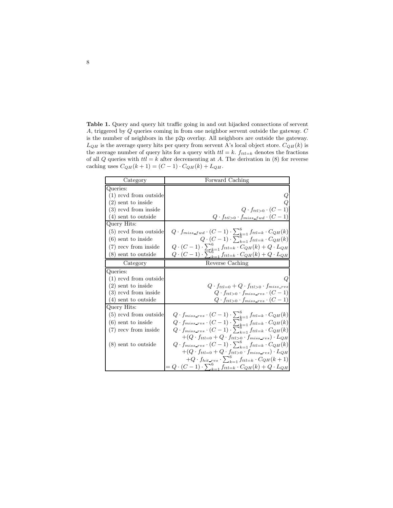Table 1. Query and query hit traffic going in and out hijacked connections of servent A, triggered by Q queries coming in from one neighbor servent outside the gateway. C is the number of neighbors in the p2p overlay. All neighbors are outside the gateway.  $L_{QH}$  is the average query hits per query from servent A's local object store.  $C_{QH}(k)$  is the average number of query hits for a query with  $tt = k$ .  $f_{ttl=k}$  denotes the fractions of all  $Q$  queries with  $ttl = k$  after decrementing at  $A$ . The derivation in  $(8)$  for reverse caching uses  $C_{QH}(k + 1) = (C - 1) \cdot C_{QH}(k) + L_{QH}$ .

| Category                | Forward Caching                                                                                                                                                                                                                                                                         |
|-------------------------|-----------------------------------------------------------------------------------------------------------------------------------------------------------------------------------------------------------------------------------------------------------------------------------------|
| Queries:                |                                                                                                                                                                                                                                                                                         |
| $(1)$ rcvd from outside |                                                                                                                                                                                                                                                                                         |
| $(2)$ sent to inside    |                                                                                                                                                                                                                                                                                         |
| $(3)$ rcvd from inside  | $Q \cdot f_{ttl>0} \cdot (C-1)$                                                                                                                                                                                                                                                         |
| (4) sent to outside     | $Q \cdot f_{ttl>0} \cdot f_{miss\_fwd} \cdot (C-1)$                                                                                                                                                                                                                                     |
| Query Hits:             |                                                                                                                                                                                                                                                                                         |
| $(5)$ rcvd from outside | $Q \cdot f_{miss\_fwd} \cdot (C-1) \cdot \sum_{k=1}^{6} f_{ttl=k} \cdot C_{QH}(k)$<br>$Q \cdot (C-1) \cdot \sum_{k=1}^{6} f_{ttl=k} \cdot C_{QH}(k)$                                                                                                                                    |
| $(6)$ sent to inside    |                                                                                                                                                                                                                                                                                         |
| (7) recy from inside    | $Q \cdot (C-1) \cdot \sum_{k=1}^{6} f_{ttl=k} \cdot C_{QH}(k) + Q \cdot L_{QH}$                                                                                                                                                                                                         |
| (8) sent to outside     | $Q \cdot (C-1) \cdot \sum_{k=1}^{6} f_{ttl=k} \cdot C_{QH}(k) + Q \cdot L_{QH}$                                                                                                                                                                                                         |
| Category                | Reverse Caching                                                                                                                                                                                                                                                                         |
| Queries:                |                                                                                                                                                                                                                                                                                         |
| $(1)$ rcvd from outside |                                                                                                                                                                                                                                                                                         |
| $(2)$ sent to inside    | $Q \cdot f_{ttl=0} + Q \cdot f_{ttl>0} \cdot f_{miss\_rvs}$                                                                                                                                                                                                                             |
| $(3)$ rcvd from inside  | $Q \cdot f_{ttl>0} \cdot f_{miss\_rvs} \cdot (C-1)$                                                                                                                                                                                                                                     |
| (4) sent to outside     | $Q \cdot f_{ttl>0} \cdot f_{miss\_rvs} \cdot (C-1)$                                                                                                                                                                                                                                     |
| Query Hits:             |                                                                                                                                                                                                                                                                                         |
| $(5)$ rcvd from outside | $\begin{array}{c} Q \cdot f_{miss\_rvs} \cdot (C-1) \cdot \sum_{k=1}^{6} f_{ttl=k} \cdot C_{QH}(k) \\ Q \cdot f_{miss\_rvs} \cdot (C-1) \cdot \sum_{k=1}^{6} f_{ttl=k} \cdot C_{QH}(k) \\ Q \cdot f_{miss\_rvs} \cdot (C-1) \cdot \sum_{k=1}^{6} f_{ttl=k} \cdot C_{QH}(k) \end{array}$ |
| $(6)$ sent to inside    |                                                                                                                                                                                                                                                                                         |
| (7) recy from inside    |                                                                                                                                                                                                                                                                                         |
|                         | $+(Q \cdot f_{ttl=0} + Q \cdot f_{ttl>0} \cdot f_{miss\_rvs}) \cdot L_{QH}$                                                                                                                                                                                                             |
| (8) sent to outside     | $Q \cdot f_{miss\_rus} \cdot (C-1) \cdot \sum_{k=1}^{6} f_{ttl=k} \cdot C_{QH}(k)$                                                                                                                                                                                                      |
|                         | $+(Q \cdot f_{ttl=0} + Q \cdot f_{ttl>0} \cdot f_{miss\_rvs}) \cdot L_{QH}$                                                                                                                                                                                                             |
|                         | $+Q \cdot f_{hit\_rus} \cdot \sum_{k=1}^{6} f_{ttl=k} \cdot C_{QH}(k+1)$                                                                                                                                                                                                                |
|                         | $= Q \cdot (C-1) \cdot \sum_{k=1}^{6} f_{ttl=k} \cdot C_{QH}(k) + Q \cdot L_{QH}$                                                                                                                                                                                                       |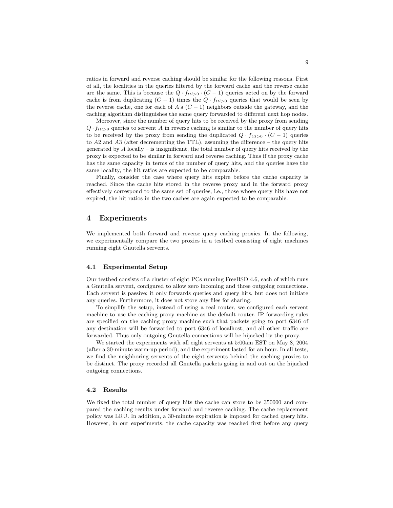ratios in forward and reverse caching should be similar for the following reasons. First of all, the localities in the queries filtered by the forward cache and the reverse cache are the same. This is because the  $Q \cdot f_{ttl>0} \cdot (C-1)$  queries acted on by the forward cache is from duplicating  $(C - 1)$  times the  $Q \cdot f_{ttl>0}$  queries that would be seen by the reverse cache, one for each of A's  $(C - 1)$  neighbors outside the gateway, and the caching algorithm distinguishes the same query forwarded to different next hop nodes.

Moreover, since the number of query hits to be received by the proxy from sending  $Q \cdot f_{ttl>0}$  queries to servent A in reverse caching is similar to the number of query hits to be received by the proxy from sending the duplicated  $Q \cdot f_{ttl>0} \cdot (C-1)$  queries to  $A2$  and  $A3$  (after decrementing the TTL), assuming the difference – the query hits generated by  $A$  locally – is insignificant, the total number of query hits received by the proxy is expected to be similar in forward and reverse caching. Thus if the proxy cache has the same capacity in terms of the number of query hits, and the queries have the same locality, the hit ratios are expected to be comparable.

Finally, consider the case where query hits expire before the cache capacity is reached. Since the cache hits stored in the reverse proxy and in the forward proxy effectively correspond to the same set of queries, i.e., those whose query hits have not expired, the hit ratios in the two caches are again expected to be comparable.

#### 4 Experiments

We implemented both forward and reverse query caching proxies. In the following, we experimentally compare the two proxies in a testbed consisting of eight machines running eight Gnutella servents.

#### 4.1 Experimental Setup

Our testbed consists of a cluster of eight PCs running FreeBSD 4.6, each of which runs a Gnutella servent, configured to allow zero incoming and three outgoing connections. Each servent is passive; it only forwards queries and query hits, but does not initiate any queries. Furthermore, it does not store any files for sharing.

To simplify the setup, instead of using a real router, we configured each servent machine to use the caching proxy machine as the default router. IP forwarding rules are specified on the caching proxy machine such that packets going to port 6346 of any destination will be forwarded to port 6346 of localhost, and all other traffic are forwarded. Thus only outgoing Gnutella connections will be hijacked by the proxy.

We started the experiments with all eight servents at 5:00am EST on May 8, 2004 (after a 30-minute warm-up period), and the experiment lasted for an hour. In all tests, we find the neighboring servents of the eight servents behind the caching proxies to be distinct. The proxy recorded all Gnutella packets going in and out on the hijacked outgoing connections.

#### 4.2 Results

We fixed the total number of query hits the cache can store to be 350000 and compared the caching results under forward and reverse caching. The cache replacement policy was LRU. In addition, a 30-minute expiration is imposed for cached query hits. However, in our experiments, the cache capacity was reached first before any query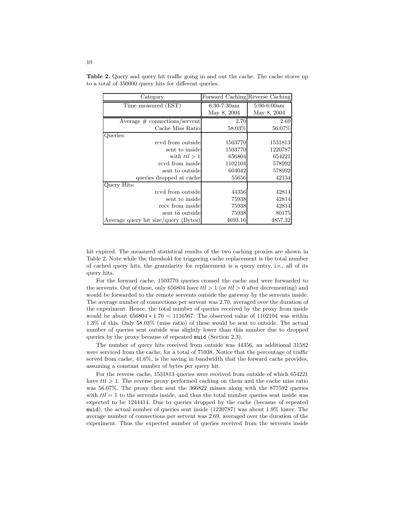| Category                             | Forward Caching Reverse Caching |               |
|--------------------------------------|---------------------------------|---------------|
| Time measured (EST)                  | $6:30-7:30am$                   | $5:00-6:00am$ |
|                                      | May 8, 2004                     | May 8, 2004   |
| Average $\#$ connections/servent     | 2.70                            | 2.69          |
| Cache Miss Ratio                     | 58.03%                          | 56.07%        |
| Queries:                             |                                 |               |
| rcyd from outside                    | 1503770                         | 1531813       |
| sent to inside                       | 1503770                         | 1220787       |
| with $ttl > 1$                       | 656804                          | 654221        |
| rcyd from inside                     | 1102104                         | 578992        |
| sent to outside                      | 604042                          | 578992        |
| queries dropped at cache             | 55656                           | 42134         |
| Query Hits:                          |                                 |               |
| rcyd from outside                    | 44356                           | 42814         |
| sent to inside                       | 75938                           | 42814         |
| recy from inside                     | 75938                           | 42814         |
| sent to outside                      | 75938                           | 80175         |
| Average query hit size/query (Bytes) | 4693.16                         | 4857.32       |

Table 2. Query and query hit traffic going in and out the cache. The cache stores up to a total of 350000 query hits for different queries.

hit expired. The measured statistical results of the two caching proxies are shown in Table 2. Note while the threshold for triggering cache replacement is the total number of cached query hits, the granularity for replacement is a query entry, i.e., all of its query hits.

For the forward cache, 1503770 queries crossed the cache and were forwarded to the servents. Out of these, only 656804 have  $ttl > 1$  (or  $ttl > 0$  after decrementing) and would be forwarded to the remote servents outside the gateway by the servents inside. The average number of connections per servent was 2.70, averaged over the duration of the experiment. Hence, the total number of queries received by the proxy from inside would be about  $656804 * 1.70 = 1116567$ . The observed value of 1102104 was within 1.3% of this. Only 58.03% (miss ratio) of these would be sent to outside. The actual number of queries sent outside was slightly lower than this number due to dropped queries by the proxy because of repeated muid (Section 2.3).

The number of query hits received from outside was 44356, an additional 31582 were serviced from the cache, for a total of 75938. Notice that the percentage of traffic served from cache, 41.6%, is the saving in bandwidth that the forward cache provides, assuming a constant number of bytes per query hit.

For the reverse cache, 1531813 queries were received from outside of which 654221 have  $ttl > 1$ . The reverse proxy performed caching on them and the cache miss ratio was 56.07%. The proxy then sent the 366822 misses along with the 877592 queries with  $ttl = 1$  to the servents inside, and thus the total number queries sent inside was expected to be 1244414. Due to queries dropped by the cache (becasue of repeated muid), the actual number of queries sent inside (1220787) was about 1.9% lower. The average number of connections per servent was 2.69, averaged over the duration of the experiment. Thus the expected number of queries received from the servents inside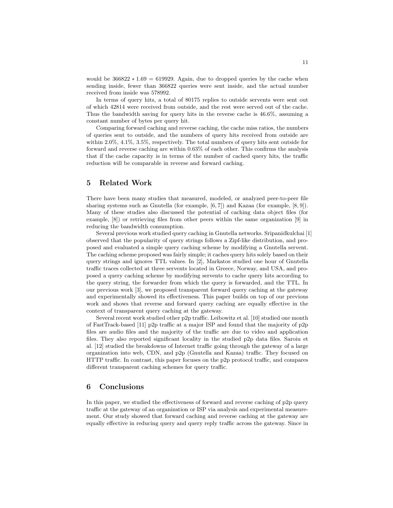would be  $366822 * 1.69 = 619929$ . Again, due to dropped queries by the cache when sending inside, fewer than 366822 queries were sent inside, and the actual number received from inside was 578992.

In terms of query hits, a total of 80175 replies to outside servents were sent out of which 42814 were received from outside, and the rest were served out of the cache. Thus the bandwidth saving for query hits in the reverse cache is 46.6%, assuming a constant number of bytes per query hit.

Comparing forward caching and reverse caching, the cache miss ratios, the numbers of queries sent to outside, and the numbers of query hits received from outside are within 2.0%, 4.1%, 3.5%, respectively. The total numbers of query hits sent outside for forward and reverse caching are within 0.63% of each other. This confirms the analysis that if the cache capacity is in terms of the number of cached query hits, the traffic reduction will be comparable in reverse and forward caching.

# 5 Related Work

There have been many studies that measured, modeled, or analyzed peer-to-peer file sharing systems such as Gnutella (for example, [6, 7]) and Kazaa (for example, [8, 9]). Many of these studies also discussed the potential of caching data object files (for example, [8]) or retrieving files from other peers within the same organization [9] in reducing the bandwidth consumption.

Several previous work studied query caching in Gnutella networks. Sripanidkulchai [1] observed that the popularity of query strings follows a Zipf-like distribution, and proposed and evaluated a simple query caching scheme by modifying a Gnutella servent. The caching scheme proposed was fairly simple; it caches query hits solely based on their query strings and ignores TTL values. In [2], Markatos studied one hour of Gnutella traffic traces collected at three servents located in Greece, Norway, and USA, and proposed a query caching scheme by modifying servents to cache query hits according to the query string, the forwarder from which the query is forwarded, and the TTL. In our previous work [3], we proposed transparent forward query caching at the gateway and experimentally showed its effectiveness. This paper builds on top of our previous work and shows that reverse and forward query caching are equally effective in the context of transparent query caching at the gateway.

Several recent work studied other p2p traffic. Leibowitz et al. [10] studied one month of FastTrack-based [11] p2p traffic at a major ISP and found that the majority of p2p files are audio files and the majority of the traffic are due to video and application files. They also reported significant locality in the studied p2p data files. Saroiu et al. [12] studied the breakdowns of Internet traffic going through the gateway of a large organization into web, CDN, and p2p (Gnutella and Kazaa) traffic. They focused on HTTP traffic. In contrast, this paper focuses on the p2p protocol traffic, and compares different transparent caching schemes for query traffic.

#### 6 Conclusions

In this paper, we studied the effectiveness of forward and reverse caching of p2p query traffic at the gateway of an organization or ISP via analysis and experimental measurement. Our study showed that forward caching and reverse caching at the gateway are equally effective in reducing query and query reply traffic across the gateway. Since in